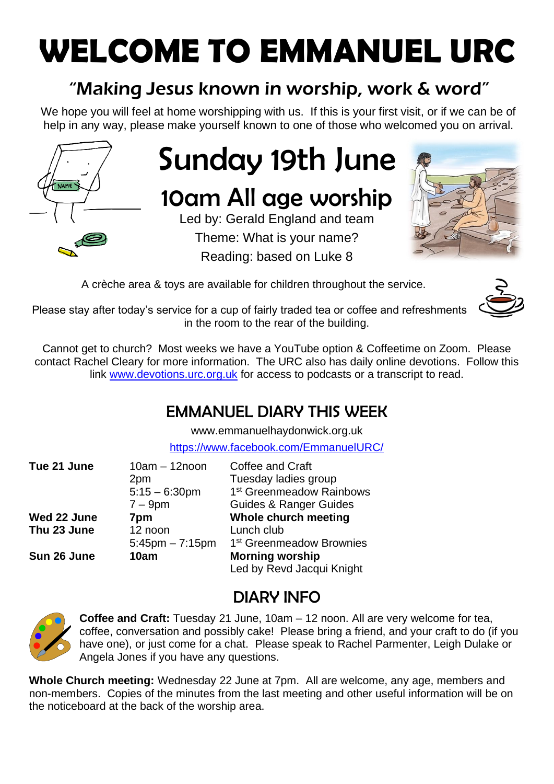## **WELCOME TO EMMANUEL URC**

## "Making Jesus known in worship, work & word"

We hope you will feel at home worshipping with us. If this is your first visit, or if we can be of help in any way, please make yourself known to one of those who welcomed you on arrival.



# Sunday 19th June

## 10am All age worship

Led by: Gerald England and team Theme: What is your name? Reading: based on Luke 8



A crèche area & toys are available for children throughout the service.



Please stay after today's service for a cup of fairly traded tea or coffee and refreshments in the room to the rear of the building.

Cannot get to church? Most weeks we have a YouTube option & Coffeetime on Zoom. Please contact Rachel Cleary for more information. The URC also has daily online devotions. Follow this link [www.devotions.urc.org.uk](http://www.devotions.urc.org.uk/) for access to podcasts or a transcript to read.

## EMMANUEL DIARY THIS WEEK

[www.emmanuelhaydonwick.org.uk](http://www.emmanuelhaydonwick.org.uk/)

<https://www.facebook.com/EmmanuelURC/>

| Tue 21 June | $10am - 12noon$<br>2pm<br>$5:15 - 6:30$ pm | Coffee and Craft<br>Tuesday ladies group<br>1 <sup>st</sup> Greenmeadow Rainbows |
|-------------|--------------------------------------------|----------------------------------------------------------------------------------|
|             | $7 - 9$ pm                                 | <b>Guides &amp; Ranger Guides</b>                                                |
| Wed 22 June | 7pm                                        | Whole church meeting                                                             |
| Thu 23 June | 12 noon                                    | Lunch club                                                                       |
|             | $5:45$ pm $-7:15$ pm                       | 1 <sup>st</sup> Greenmeadow Brownies                                             |
| Sun 26 June | 10am                                       | <b>Morning worship</b>                                                           |
|             |                                            | Led by Revd Jacqui Knight                                                        |

## DIARY INFO



**Coffee and Craft:** Tuesday 21 June, 10am – 12 noon. All are very welcome for tea, coffee, conversation and possibly cake! Please bring a friend, and your craft to do (if you have one), or just come for a chat. Please speak to Rachel Parmenter, Leigh Dulake or Angela Jones if you have any questions.

**Whole Church meeting:** Wednesday 22 June at 7pm. All are welcome, any age, members and non-members. Copies of the minutes from the last meeting and other useful information will be on the noticeboard at the back of the worship area.